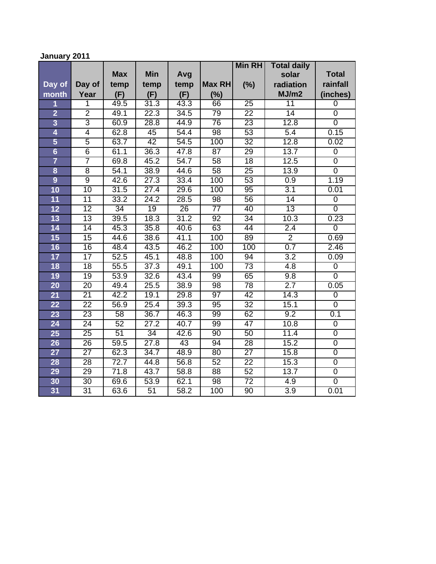# **January 2011**

|                 |                 |            |                 |      |                 | <b>Min RH</b>   | <b>Total daily</b> |                |
|-----------------|-----------------|------------|-----------------|------|-----------------|-----------------|--------------------|----------------|
|                 |                 | <b>Max</b> | <b>Min</b>      | Avg  |                 |                 | solar              | <b>Total</b>   |
| Day of          | Day of          | temp       | temp            | temp | Max RH          | (%)             | radiation          | rainfall       |
| month           | Year            | (F)        | (F)             | (F)  | (%)             |                 | MJ/m2              | (inches)       |
| 1               | 1               | 49.5       | 31.3            | 43.3 | 66              | $\overline{25}$ | $\overline{11}$    | $\overline{0}$ |
| $\overline{2}$  | $\overline{2}$  | 49.1       | 22.3            | 34.5 | $\overline{79}$ | $\overline{22}$ | 14                 | $\overline{0}$ |
| $\overline{3}$  | 3               | 60.9       | 28.8            | 44.9 | $\overline{76}$ | 23              | 12.8               | $\overline{0}$ |
| 4               | $\overline{4}$  | 62.8       | $\overline{45}$ | 54.4 | $\overline{98}$ | 53              | $\overline{5.4}$   | 0.15           |
| 5               | $\overline{5}$  | 63.7       | 42              | 54.5 | 100             | $\overline{32}$ | 12.8               | 0.02           |
| $6\overline{6}$ | $\overline{6}$  | 61.1       | 36.3            | 47.8 | $\overline{87}$ | $\overline{29}$ | 13.7               | $\pmb{0}$      |
| $\overline{7}$  | 7               | 69.8       | 45.2            | 54.7 | 58              | $\overline{18}$ | 12.5               | $\overline{0}$ |
| 8               | $\overline{8}$  | 54.1       | 38.9            | 44.6 | 58              | 25              | 13.9               | $\overline{0}$ |
| $\overline{9}$  | $\overline{9}$  | 42.6       | 27.3            | 33.4 | 100             | 53              | 0.9                | 1.19           |
| 10              | 10              | 31.5       | 27.4            | 29.6 | 100             | 95              | 3.1                | 0.01           |
| 11              | 11              | 33.2       | 24.2            | 28.5 | $\overline{98}$ | 56              | $\overline{14}$    | 0              |
| 12              | $\overline{12}$ | 34         | 19              | 26   | 77              | 40              | 13                 | $\overline{0}$ |
| 13              | $\overline{13}$ | 39.5       | 18.3            | 31.2 | 92              | 34              | 10.3               | 0.23           |
| 14              | $\overline{14}$ | 45.3       | 35.8            | 40.6 | 63              | 44              | 2.4                | $\overline{0}$ |
| 15              | $\overline{15}$ | 44.6       | 38.6            | 41.1 | 100             | 89              | $\overline{2}$     | 0.69           |
| 16              | 16              | 48.4       | 43.5            | 46.2 | 100             | 100             | 0.7                | 2.46           |
| 17              | $\overline{17}$ | 52.5       | 45.1            | 48.8 | 100             | 94              | $\overline{3.2}$   | 0.09           |
| 18              | $\overline{18}$ | 55.5       | 37.3            | 49.1 | 100             | $\overline{73}$ | 4.8                | $\mathbf 0$    |
| 19              | 19              | 53.9       | 32.6            | 43.4 | 99              | 65              | 9.8                | $\overline{0}$ |
| $\overline{20}$ | $\overline{20}$ | 49.4       | 25.5            | 38.9 | $\overline{98}$ | 78              | 2.7                | 0.05           |
| 21              | $\overline{21}$ | 42.2       | 19.1            | 29.8 | $\overline{97}$ | 42              | 14.3               | 0              |
| $\overline{22}$ | $\overline{22}$ | 56.9       | 25.4            | 39.3 | 95              | 32              | 15.1               | $\overline{0}$ |
| 23              | $\overline{23}$ | 58         | 36.7            | 46.3 | 99              | 62              | 9.2                | 0.1            |
| 24              | 24              | 52         | 27.2            | 40.7 | 99              | 47              | 10.8               | $\overline{0}$ |
| 25              | $\overline{25}$ | 51         | 34              | 42.6 | 90              | 50              | 11.4               | $\overline{0}$ |
| 26              | 26              | 59.5       | 27.8            | 43   | 94              | 28              | 15.2               | $\overline{0}$ |
| 27              | $\overline{27}$ | 62.3       | 34.7            | 48.9 | 80              | $\overline{27}$ | 15.8               | $\overline{0}$ |
| 28              | $\overline{28}$ | 72.7       | 44.8            | 56.8 | 52              | $\overline{22}$ | 15.3               | $\overline{0}$ |
| 29              | 29              | 71.8       | 43.7            | 58.8 | $\overline{88}$ | 52              | 13.7               | $\overline{0}$ |
| 30              | $\overline{30}$ | 69.6       | 53.9            | 62.1 | $\overline{98}$ | $\overline{72}$ | 4.9                | $\overline{0}$ |
| 31              | $\overline{31}$ | 63.6       | 51              | 58.2 | 100             | $\overline{90}$ | $\overline{3.9}$   | 0.01           |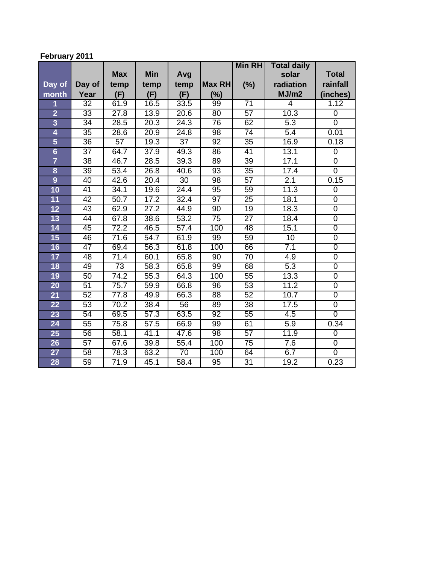# **February 2011**

|                 |                 |                   |                   |                 |                 | <b>Min RH</b>   | <b>Total daily</b> |                |
|-----------------|-----------------|-------------------|-------------------|-----------------|-----------------|-----------------|--------------------|----------------|
|                 |                 | <b>Max</b>        | <b>Min</b>        | Avg             |                 |                 | solar              | <b>Total</b>   |
| Day of          | Day of          | temp              | temp              | temp            | <b>Max RH</b>   | (%)             | radiation          | rainfall       |
| month           | Year            | (F)               | (F)               | (F)             | (%)             |                 | MJ/m2              | (inches)       |
| 1               | $\overline{32}$ | 61.9              | 16.5              | 33.5            | 99              | $\overline{71}$ | 4                  | 1.12           |
| $\overline{2}$  | 33              | 27.8              | 13.9              | 20.6            | $\overline{80}$ | 57              | 10.3               | $\overline{0}$ |
| $\overline{3}$  | 34              | 28.5              | 20.3              | 24.3            | $\overline{76}$ | 62              | 5.3                | $\overline{0}$ |
| 4               | $\overline{35}$ | 28.6              | 20.9              | 24.8            | $\overline{98}$ | $\overline{74}$ | $\overline{5.4}$   | 0.01           |
| 5               | $\overline{36}$ | $\overline{57}$   | 19.3              | $\overline{37}$ | $\overline{92}$ | $\overline{35}$ | 16.9               | 0.18           |
| $6\overline{6}$ | $\overline{37}$ | $\overline{64.7}$ | $\overline{37.9}$ | 49.3            | 86              | 41              | 13.1               | $\pmb{0}$      |
| $\overline{7}$  | $\overline{38}$ | 46.7              | 28.5              | 39.3            | 89              | $\overline{39}$ | 17.1               | 0              |
| 8               | 39              | 53.4              | 26.8              | 40.6            | 93              | $\overline{35}$ | 17.4               | $\overline{0}$ |
| $\overline{9}$  | 40              | 42.6              | 20.4              | 30              | $\overline{98}$ | $\overline{57}$ | 2.1                | 0.15           |
| 10              | $\overline{41}$ | 34.1              | 19.6              | 24.4            | $\overline{95}$ | 59              | 11.3               | $\overline{0}$ |
| $\overline{11}$ | 42              | 50.7              | 17.2              | 32.4            | $\overline{97}$ | $\overline{25}$ | 18.1               | $\overline{0}$ |
| 12              | 43              | 62.9              | 27.2              | 44.9            | 90              | 19              | 18.3               | $\overline{0}$ |
| $\overline{13}$ | 44              | 67.8              | 38.6              | 53.2            | $\overline{75}$ | $\overline{27}$ | 18.4               | $\overline{0}$ |
| 14              | 45              | 72.2              | 46.5              | 57.4            | 100             | 48              | 15.1               | $\overline{0}$ |
| 15              | 46              | 71.6              | 54.7              | 61.9            | 99              | 59              | 10                 | $\overline{0}$ |
| 16              | $\overline{47}$ | 69.4              | 56.3              | 61.8            | 100             | 66              | 7.1                | 0              |
| 17              | 48              | 71.4              | 60.1              | 65.8            | 90              | $\overline{70}$ | 4.9                | $\overline{0}$ |
| 18              | 49              | $\overline{73}$   | 58.3              | 65.8            | 99              | 68              | $\overline{5.3}$   | $\overline{0}$ |
| 19              | 50              | 74.2              | 55.3              | 64.3            | 100             | $\overline{55}$ | 13.3               | $\overline{0}$ |
| 20              | 51              | 75.7              | 59.9              | 66.8            | $\overline{96}$ | $\overline{53}$ | 11.2               | $\overline{0}$ |
| 21              | 52              | 77.8              | 49.9              | 66.3            | 88              | 52              | 10.7               | $\overline{0}$ |
| 22              | 53              | 70.2              | 38.4              | 56              | 89              | $\overline{38}$ | 17.5               | $\overline{0}$ |
| 23              | 54              | 69.5              | 57.3              | 63.5            | 92              | $\overline{55}$ | 4.5                | $\overline{0}$ |
| 24              | $\overline{55}$ | 75.8              | 57.5              | 66.9            | 99              | 61              | 5.9                | 0.34           |
| 25              | $\overline{56}$ | $\overline{58.1}$ | 41.1              | 47.6            | $\overline{98}$ | $\overline{57}$ | 11.9               | 0              |
| 26              | $\overline{57}$ | 67.6              | 39.8              | 55.4            | 100             | $\overline{75}$ | $\overline{7.6}$   | $\overline{0}$ |
| 27              | $\overline{58}$ | 78.3              | 63.2              | 70              | 100             | $\overline{64}$ | 6.7                | $\overline{0}$ |
| 28              | 59              | 71.9              | 45.1              | 58.4            | $\overline{95}$ | $\overline{31}$ | 19.2               | 0.23           |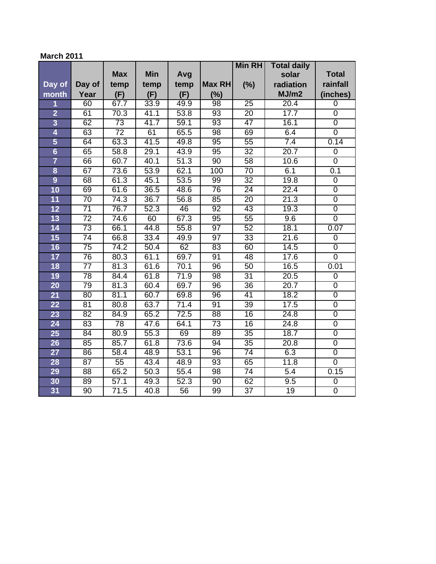### **March 2011**

|                 |                 |                   |                   |      |                 | <b>Min RH</b>   | <b>Total daily</b> |                |
|-----------------|-----------------|-------------------|-------------------|------|-----------------|-----------------|--------------------|----------------|
|                 |                 | <b>Max</b>        | <b>Min</b>        | Avg  |                 |                 | solar              | <b>Total</b>   |
| Day of          | Day of          | temp              | temp              | temp | Max RH          | (%)             | radiation          | rainfall       |
| month           | Year            | (F)               | (F)               | (F)  | (%)             |                 | MJ/m2              | (inches)       |
| 1               | 60              | 67.7              | 33.9              | 49.9 | $\overline{98}$ | $\overline{25}$ | 20.4               | $\overline{0}$ |
| $\overline{2}$  | 61              | 70.3              | $\overline{41.1}$ | 53.8 | $\overline{93}$ | $\overline{20}$ | 17.7               | $\overline{0}$ |
| $\overline{3}$  | 62              | $\overline{73}$   | 41.7              | 59.1 | $\overline{93}$ | 47              | 16.1               | $\overline{0}$ |
| 4               | 63              | $\overline{72}$   | 61                | 65.5 | $\overline{98}$ | 69              | 6.4                | $\overline{0}$ |
| 5               | 64              | 63.3              | 41.5              | 49.8 | $\overline{95}$ | $\overline{55}$ | 7.4                | 0.14           |
| $6\overline{6}$ | 65              | 58.8              | 29.1              | 43.9 | 95              | $\overline{32}$ | 20.7               | $\pmb{0}$      |
| $\overline{7}$  | 66              | 60.7              | 40.1              | 51.3 | 90              | 58              | 10.6               | $\overline{0}$ |
| 8               | 67              | 73.6              | 53.9              | 62.1 | 100             | $\overline{70}$ | 6.1                | 0.1            |
| $\overline{9}$  | 68              | 61.3              | 45.1              | 53.5 | 99              | $\overline{32}$ | 19.8               | $\overline{0}$ |
| 10              | 69              | 61.6              | 36.5              | 48.6 | 76              | 24              | 22.4               | $\overline{0}$ |
| $\overline{11}$ | $\overline{70}$ | 74.3              | 36.7              | 56.8 | 85              | $\overline{20}$ | 21.3               | $\overline{0}$ |
| 12              | $\overline{71}$ | 76.7              | 52.3              | 46   | 92              | 43              | 19.3               | $\overline{0}$ |
| 13              | $\overline{72}$ | 74.6              | 60                | 67.3 | 95              | $\overline{55}$ | 9.6                | $\overline{0}$ |
| 14              | $\overline{73}$ | 66.1              | 44.8              | 55.8 | 97              | 52              | 18.1               | 0.07           |
| 15              | $\overline{74}$ | 66.8              | 33.4              | 49.9 | $\overline{97}$ | 33              | 21.6               | 0              |
| 16              | $\overline{75}$ | 74.2              | 50.4              | 62   | 83              | 60              | 14.5               | $\overline{0}$ |
| 17              | $\overline{76}$ | 80.3              | 61.1              | 69.7 | 91              | 48              | 17.6               | $\overline{0}$ |
| 18              | $\overline{77}$ | 81.3              | 61.6              | 70.1 | $\overline{96}$ | 50              | 16.5               | 0.01           |
| 19              | 78              | 84.4              | 61.8              | 71.9 | $\overline{98}$ | $\overline{31}$ | 20.5               | $\overline{0}$ |
| 20              | 79              | 81.3              | 60.4              | 69.7 | $\overline{96}$ | 36              | 20.7               | $\overline{0}$ |
| 21              | 80              | 81.1              | 60.7              | 69.8 | 96              | $\overline{41}$ | 18.2               | $\overline{0}$ |
| 22              | 81              | 80.8              | 63.7              | 71.4 | 91              | 39              | 17.5               | $\overline{0}$ |
| 23              | 82              | 84.9              | 65.2              | 72.5 | $\overline{88}$ | 16              | 24.8               | $\overline{0}$ |
| 24              | 83              | $\overline{78}$   | 47.6              | 64.1 | $\overline{73}$ | 16              | 24.8               | $\overline{0}$ |
| 25              | 84              | 80.9              | 55.3              | 69   | 89              | 35              | 18.7               | $\overline{0}$ |
| 26              | 85              | 85.7              | 61.8              | 73.6 | 94              | 35              | 20.8               | $\overline{0}$ |
| 27              | 86              | 58.4              | 48.9              | 53.1 | 96              | $\overline{74}$ | 6.3                | $\overline{0}$ |
| 28              | $\overline{87}$ | $\overline{55}$   | 43.4              | 48.9 | 93              | 65              | 11.8               | $\overline{0}$ |
| 29              | $\overline{88}$ | 65.2              | 50.3              | 55.4 | $\overline{98}$ | $\overline{74}$ | $\overline{5.4}$   | 0.15           |
| 30              | 89              | $\overline{57.1}$ | 49.3              | 52.3 | $\overline{90}$ | 62              | 9.5                | $\overline{0}$ |
| 31              | 90              | $\overline{71.5}$ | 40.8              | 56   | 99              | $\overline{37}$ | $\overline{19}$    | $\overline{0}$ |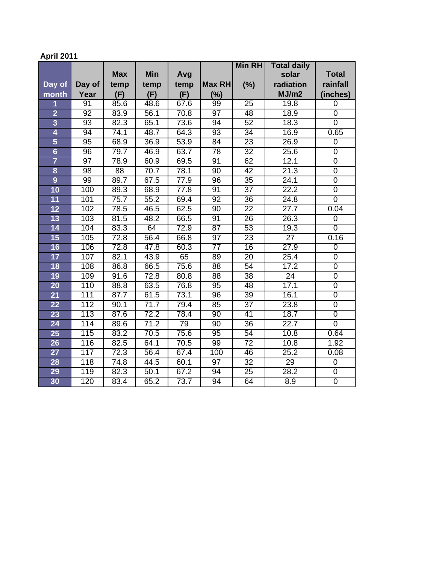# **April 2011**

|                         |                  |            |            |      |                 | <b>Min RH</b>   | <b>Total daily</b> |                |
|-------------------------|------------------|------------|------------|------|-----------------|-----------------|--------------------|----------------|
|                         |                  | <b>Max</b> | <b>Min</b> | Avg  |                 |                 | solar              | <b>Total</b>   |
| Day of                  | Day of           | temp       | temp       | temp | Max RH          | (%)             | radiation          | rainfall       |
| month                   | Year             | (F)        | (F)        | (F)  | (%)             |                 | MJ/m2              | (inches)       |
| 1                       | 91               | 85.6       | 48.6       | 67.6 | 99              | 25              | 19.8               | $\overline{0}$ |
| $\overline{2}$          | 92               | 83.9       | 56.1       | 70.8 | $\overline{97}$ | 48              | 18.9               | $\mathbf 0$    |
| $\overline{3}$          | 93               | 82.3       | 65.1       | 73.6 | 94              | 52              | 18.3               | $\overline{0}$ |
| 4                       | 94               | 74.1       | 48.7       | 64.3 | $\overline{93}$ | $\overline{34}$ | 16.9               | 0.65           |
| 5                       | 95               | 68.9       | 36.9       | 53.9 | 84              | $\overline{23}$ | 26.9               | $\overline{0}$ |
| $6\overline{6}$         | $\overline{96}$  | 79.7       | 46.9       | 63.7 | 78              | $\overline{32}$ | 25.6               | $\overline{0}$ |
| $\overline{7}$          | $\overline{97}$  | 78.9       | 60.9       | 69.5 | 91              | 62              | 12.1               | $\overline{0}$ |
| $\overline{\mathbf{8}}$ | 98               | 88         | 70.7       | 78.1 | $\overline{90}$ | 42              | 21.3               | $\overline{0}$ |
| $\overline{9}$          | 99               | 89.7       | 67.5       | 77.9 | 96              | 35              | 24.1               | $\overline{0}$ |
| 10                      | 100              | 89.3       | 68.9       | 77.8 | 91              | $\overline{37}$ | 22.2               | $\overline{0}$ |
| $\overline{11}$         | 101              | 75.7       | 55.2       | 69.4 | $\overline{92}$ | $\overline{36}$ | 24.8               | $\overline{0}$ |
| 12                      | 102              | 78.5       | 46.5       | 62.5 | 90              | $\overline{22}$ | 27.7               | 0.04           |
| 13                      | 103              | 81.5       | 48.2       | 66.5 | 91              | $\overline{26}$ | 26.3               | $\overline{0}$ |
| 14                      | 104              | 83.3       | 64         | 72.9 | $\overline{87}$ | $\overline{53}$ | 19.3               | $\mathbf 0$    |
| 15                      | 105              | 72.8       | 56.4       | 66.8 | 97              | $\overline{23}$ | $\overline{27}$    | 0.16           |
| 16                      | 106              | 72.8       | 47.8       | 60.3 | $\overline{77}$ | 16              | 27.9               | $\overline{0}$ |
| 17                      | 107              | 82.1       | 43.9       | 65   | 89              | $\overline{20}$ | 25.4               | $\overline{0}$ |
| 18                      | 108              | 86.8       | 66.5       | 75.6 | $\overline{88}$ | $\overline{54}$ | 17.2               | $\overline{0}$ |
| 19                      | 109              | 91.6       | 72.8       | 80.8 | 88              | $\overline{38}$ | $\overline{24}$    | $\overline{0}$ |
| 20                      | 110              | 88.8       | 63.5       | 76.8 | $\overline{95}$ | 48              | 17.1               | $\overline{0}$ |
| 21                      | 111              | 87.7       | 61.5       | 73.1 | $\overline{96}$ | 39              | 16.1               | $\overline{0}$ |
| 22                      | 112              | 90.1       | 71.7       | 79.4 | 85              | $\overline{37}$ | 23.8               | $\overline{0}$ |
| 23                      | $\overline{113}$ | 87.6       | 72.2       | 78.4 | $\overline{90}$ | $\overline{41}$ | 18.7               | $\overline{0}$ |
| 24                      | 114              | 89.6       | 71.2       | 79   | $\overline{90}$ | 36              | 22.7               | $\overline{0}$ |
| 25                      | 115              | 83.2       | 70.5       | 75.6 | $\overline{95}$ | 54              | 10.8               | 0.64           |
| 26                      | 116              | 82.5       | 64.1       | 70.5 | 99              | $\overline{72}$ | 10.8               | 1.92           |
| 27                      | 117              | 72.3       | 56.4       | 67.4 | 100             | 46              | 25.2               | 0.08           |
| 28                      | $\overline{118}$ | 74.8       | 44.5       | 60.1 | $\overline{97}$ | $\overline{32}$ | 29                 | $\mathbf 0$    |
| 29                      | 119              | 82.3       | 50.1       | 67.2 | 94              | $\overline{25}$ | 28.2               | $\overline{0}$ |
| 30                      | 120              | 83.4       | 65.2       | 73.7 | 94              | 64              | 8.9                | $\overline{0}$ |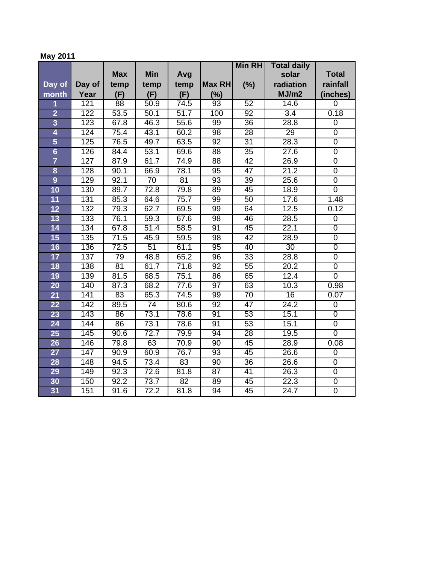## **May 2011**

|                         |        |                 |                 |                   |                 | <b>Min RH</b>   | <b>Total daily</b> |                  |
|-------------------------|--------|-----------------|-----------------|-------------------|-----------------|-----------------|--------------------|------------------|
|                         |        | <b>Max</b>      | <b>Min</b>      | Avg               |                 |                 | solar              | <b>Total</b>     |
| Day of                  | Day of | temp            | temp            | temp              | Max RH          | (%)             | radiation          | rainfall         |
| month                   | Year   | (F)             | (F)             | (F)               | (%)             |                 | MJ/m2              | (inches)         |
| 1                       | 121    | $\overline{88}$ | 50.9            | $74.\overline{5}$ | $\overline{93}$ | 52              | 14.6               | $\overline{0}$   |
| $\overline{2}$          | 122    | 53.5            | 50.1            | $\overline{51.7}$ | 100             | 92              | $\overline{3.4}$   | 0.18             |
| $\overline{3}$          | 123    | 67.8            | 46.3            | 55.6              | 99              | 36              | 28.8               | $\overline{0}$   |
| 4                       | 124    | 75.4            | 43.1            | 60.2              | $\overline{98}$ | 28              | 29                 | $\overline{0}$   |
| 5                       | 125    | 76.5            | 49.7            | 63.5              | 92              | $\overline{31}$ | 28.3               | $\overline{0}$   |
| $6\overline{6}$         | 126    | 84.4            | 53.1            | 69.6              | $\overline{88}$ | $\overline{35}$ | $\overline{27.6}$  | $\overline{0}$   |
| $\overline{\mathbf{7}}$ | 127    | 87.9            | 61.7            | 74.9              | 88              | 42              | 26.9               | $\overline{0}$   |
| 8                       | 128    | 90.1            | 66.9            | 78.1              | 95              | $\overline{47}$ | 21.2               | $\overline{0}$   |
| $\overline{9}$          | 129    | 92.1            | $\overline{70}$ | 81                | 93              | 39              | 25.6               | $\overline{0}$   |
| 10                      | 130    | 89.7            | 72.8            | 79.8              | 89              | 45              | 18.9               | $\overline{0}$   |
| 11                      | 131    | 85.3            | 64.6            | 75.7              | 99              | 50              | 17.6               | 1.48             |
| 12                      | 132    | 79.3            | 62.7            | 69.5              | 99              | 64              | 12.5               | 0.12             |
| 13                      | 133    | 76.1            | 59.3            | 67.6              | $\overline{98}$ | 46              | 28.5               | $\boldsymbol{0}$ |
| 14                      | 134    | 67.8            | 51.4            | 58.5              | 91              | 45              | 22.1               | $\overline{0}$   |
| 15                      | 135    | 71.5            | 45.9            | 59.5              | $\overline{98}$ | 42              | 28.9               | $\overline{0}$   |
| 16                      | 136    | 72.5            | 51              | 61.1              | 95              | 40              | 30                 | $\overline{0}$   |
| 17                      | 137    | 79              | 48.8            | 65.2              | 96              | $\overline{33}$ | 28.8               | $\overline{0}$   |
| 18                      | 138    | 81              | 61.7            | 71.8              | 92              | $\overline{55}$ | 20.2               | $\overline{0}$   |
| 19                      | 139    | 81.5            | 68.5            | 75.1              | 86              | 65              | 12.4               | $\overline{0}$   |
| $\overline{20}$         | 140    | 87.3            | 68.2            | 77.6              | $\overline{97}$ | 63              | 10.3               | 0.98             |
| 21                      | 141    | 83              | 65.3            | 74.5              | 99              | $\overline{70}$ | 16                 | 0.07             |
| 22                      | 142    | 89.5            | $\overline{74}$ | 80.6              | 92              | $\overline{47}$ | 24.2               | $\overline{0}$   |
| 23                      | 143    | 86              | 73.1            | 78.6              | 91              | 53              | 15.1               | $\overline{0}$   |
| 24                      | 144    | 86              | 73.1            | 78.6              | 91              | 53              | 15.1               | $\overline{0}$   |
| 25                      | 145    | 90.6            | 72.7            | 79.9              | 94              | 28              | 19.5               | $\overline{0}$   |
| 26                      | 146    | 79.8            | 63              | 70.9              | $\overline{90}$ | 45              | 28.9               | 0.08             |
| 27                      | 147    | 90.9            | 60.9            | 76.7              | 93              | 45              | 26.6               | $\overline{0}$   |
| 28                      | 148    | 94.5            | 73.4            | 83                | 90              | 36              | 26.6               | $\overline{0}$   |
| 29                      | 149    | 92.3            | 72.6            | 81.8              | $\overline{87}$ | $\overline{41}$ | 26.3               | $\overline{0}$   |
| 30                      | 150    | 92.2            | 73.7            | $\overline{82}$   | $\overline{89}$ | 45              | 22.3               | $\overline{0}$   |
| 31                      | 151    | 91.6            | 72.2            | 81.8              | $\overline{94}$ | 45              | $\overline{24.7}$  | $\overline{0}$   |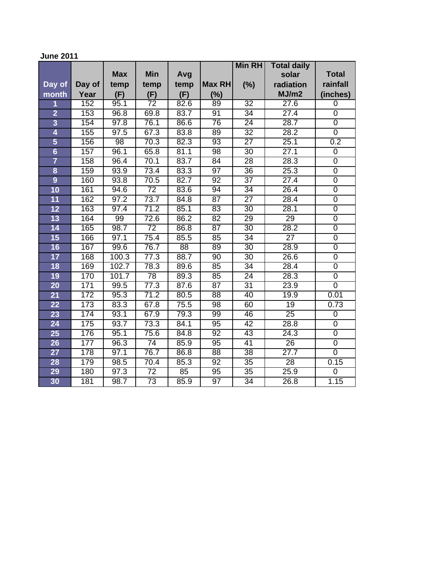### **June 2011**

|                         |        |                   |                 |      |                 | <b>Min RH</b>   | <b>Total daily</b> |                  |
|-------------------------|--------|-------------------|-----------------|------|-----------------|-----------------|--------------------|------------------|
|                         |        | <b>Max</b>        | <b>Min</b>      | Avg  |                 |                 | solar              | <b>Total</b>     |
| Day of                  | Day of | temp              | temp            | temp | Max RH          | (%)             | radiation          | rainfall         |
| month                   | Year   | (F)               | (F)             | (F)  | (%)             |                 | MJ/m2              | (inches)         |
| 1                       | 152    | 95.1              | $\overline{72}$ | 82.6 | 89              | $\overline{32}$ | 27.6               | $\overline{0}$   |
| $\overline{\mathbf{2}}$ | 153    | 96.8              | 69.8            | 83.7 | 91              | 34              | 27.4               | $\overline{0}$   |
| $\overline{3}$          | 154    | $\overline{97.8}$ | 76.1            | 86.6 | 76              | $\overline{24}$ | 28.7               | $\overline{0}$   |
| 4                       | 155    | 97.5              | 67.3            | 83.8 | $\overline{89}$ | $\overline{32}$ | 28.2               | $\overline{0}$   |
| 5                       | 156    | 98                | 70.3            | 82.3 | 93              | $\overline{27}$ | 25.1               | 0.2              |
| $6\phantom{a}$          | 157    | 96.1              | 65.8            | 81.1 | 98              | $\overline{30}$ | $\overline{27.1}$  | $\mathbf 0$      |
| $\overline{\mathbf{7}}$ | 158    | 96.4              | 70.1            | 83.7 | $\overline{84}$ | $\overline{28}$ | 28.3               | $\overline{0}$   |
| $\overline{\mathbf{8}}$ | 159    | 93.9              | 73.4            | 83.3 | 97              | 36              | 25.3               | $\overline{0}$   |
| $\overline{9}$          | 160    | 93.8              | 70.5            | 82.7 | $\overline{92}$ | $\overline{37}$ | 27.4               | $\overline{0}$   |
| 10                      | 161    | 94.6              | $\overline{72}$ | 83.6 | 94              | 34              | 26.4               | $\overline{0}$   |
| $\overline{11}$         | 162    | 97.2              | 73.7            | 84.8 | 87              | $\overline{27}$ | 28.4               | $\overline{0}$   |
| 12                      | 163    | 97.4              | 71.2            | 85.1 | 83              | 30              | 28.1               | $\overline{0}$   |
| 13                      | 164    | 99                | 72.6            | 86.2 | $\overline{82}$ | $\overline{29}$ | 29                 | $\overline{0}$   |
| 14                      | 165    | 98.7              | $\overline{72}$ | 86.8 | 87              | $\overline{30}$ | 28.2               | $\overline{0}$   |
| 15                      | 166    | 97.1              | 75.4            | 85.5 | 85              | $\overline{34}$ | $\overline{27}$    | $\overline{0}$   |
| 16                      | 167    | 99.6              | 76.7            | 88   | 89              | 30              | 28.9               | $\overline{0}$   |
| 17                      | 168    | 100.3             | 77.3            | 88.7 | $\overline{90}$ | 30              | 26.6               | $\overline{0}$   |
| 18                      | 169    | 102.7             | 78.3            | 89.6 | 85              | $\overline{34}$ | 28.4               | $\overline{0}$   |
| 19                      | 170    | 101.7             | 78              | 89.3 | 85              | $\overline{24}$ | 28.3               | $\overline{0}$   |
| $\overline{20}$         | 171    | 99.5              | 77.3            | 87.6 | $\overline{87}$ | $\overline{31}$ | 23.9               | $\overline{0}$   |
| 21                      | 172    | 95.3              | 71.2            | 80.5 | 88              | 40              | 19.9               | 0.01             |
| 22                      | 173    | 83.3              | 67.8            | 75.5 | $\overline{98}$ | 60              | 19                 | 0.73             |
| 23                      | 174    | 93.1              | 67.9            | 79.3 | 99              | 46              | $\overline{25}$    | $\overline{0}$   |
| 24                      | 175    | 93.7              | 73.3            | 84.1 | 95              | 42              | 28.8               | $\boldsymbol{0}$ |
| 25                      | 176    | 95.1              | 75.6            | 84.8 | 92              | 43              | 24.3               | $\overline{0}$   |
| 26                      | 177    | 96.3              | $\overline{74}$ | 85.9 | $\overline{95}$ | 41              | 26                 | $\overline{0}$   |
| $\overline{27}$         | 178    | 97.1              | 76.7            | 86.8 | $\overline{88}$ | 38              | 27.7               | $\overline{0}$   |
| 28                      | 179    | 98.5              | 70.4            | 85.3 | 92              | $\overline{35}$ | $\overline{28}$    | 0.15             |
| 29                      | 180    | 97.3              | $\overline{72}$ | 85   | 95              | $\overline{35}$ | 25.9               | $\mathbf 0$      |
| 30                      | 181    | 98.7              | $\overline{73}$ | 85.9 | $\overline{97}$ | $\overline{34}$ | 26.8               | 1.15             |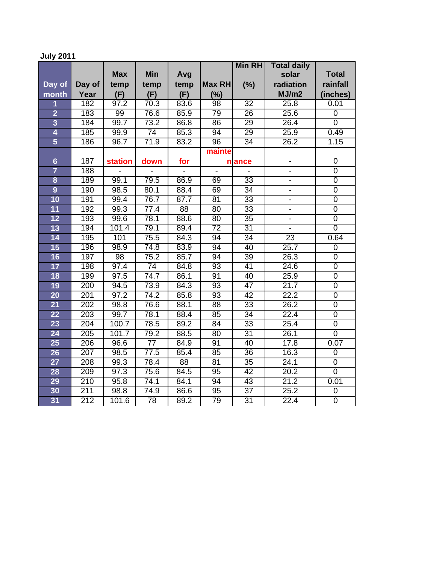# **July 2011**

|                         |                  |                   |                 |                 |                 | <b>Min RH</b>   | <b>Total daily</b>       |                |
|-------------------------|------------------|-------------------|-----------------|-----------------|-----------------|-----------------|--------------------------|----------------|
|                         |                  | <b>Max</b>        | <b>Min</b>      | Avg             |                 |                 | solar                    | <b>Total</b>   |
| Day of                  | Day of           | temp              | temp            | temp            | <b>Max RH</b>   | (%)             | radiation                | rainfall       |
| month                   | Year             | (F)               | (F)             | (F)             | (%)             |                 | MJ/m2                    | (inches)       |
| 1                       | 182              | 97.2              | 70.3            | 83.6            | 98              | $\overline{32}$ | 25.8                     | 0.01           |
| $\overline{\mathbf{2}}$ | 183              | 99                | 76.6            | 85.9            | 79              | 26              | 25.6                     | $\overline{0}$ |
| $\overline{3}$          | 184              | 99.7              | 73.2            | 86.8            | 86              | 29              | 26.4                     | 0              |
| 4                       | 185              | 99.9              | $\overline{74}$ | 85.3            | 94              | 29              | 25.9                     | 0.49           |
| 5                       | 186              | 96.7              | 71.9            | 83.2            | $\overline{96}$ | $\overline{34}$ | 26.2                     | 1.15           |
|                         |                  |                   |                 |                 | mainte          |                 |                          |                |
| $6\phantom{1}6$         | 187              | <b>station</b>    | down            | for             |                 | n ance          |                          | 0              |
| $\overline{7}$          | 188              |                   |                 |                 |                 |                 | $\overline{a}$           | $\overline{0}$ |
| $\overline{\mathbf{8}}$ | 189              | 99.1              | 79.5            | 86.9            | 69              | $\overline{33}$ | $\overline{\phantom{a}}$ | $\overline{0}$ |
| $\overline{9}$          | 190              | 98.5              | 80.1            | 88.4            | 69              | $\overline{34}$ | $\overline{\phantom{a}}$ | $\overline{0}$ |
| 10                      | 191              | 99.4              | 76.7            | 87.7            | $\overline{81}$ | $\overline{33}$ | $\blacksquare$           | $\overline{0}$ |
| $\overline{11}$         | 192              | 99.3              | 77.4            | $\overline{88}$ | $\overline{80}$ | $\overline{33}$ | $\blacksquare$           | $\overline{0}$ |
| 12                      | 193              | 99.6              | 78.1            | 88.6            | 80              | 35              | $\overline{a}$           | $\overline{0}$ |
| 13                      | 194              | 101.4             | 79.1            | 89.4            | $\overline{72}$ | $\overline{31}$ | $\blacksquare$           | $\overline{0}$ |
| 14                      | 195              | 101               | 75.5            | 84.3            | 94              | $\overline{34}$ | 23                       | 0.64           |
| 15                      | 196              | 98.9              | 74.8            | 83.9            | 94              | 40              | 25.7                     | $\overline{0}$ |
| 16                      | 197              | 98                | 75.2            | 85.7            | 94              | 39              | 26.3                     | $\overline{0}$ |
| 17                      | 198              | 97.4              | 74              | 84.8            | $\overline{93}$ | $\overline{41}$ | 24.6                     | $\overline{0}$ |
| 18                      | 199              | 97.5              | 74.7            | 86.1            | 91              | 40              | 25.9                     | $\overline{0}$ |
| 19                      | 200              | 94.5              | 73.9            | 84.3            | 93              | $\overline{47}$ | 21.7                     | $\overline{0}$ |
| $\overline{20}$         | 201              | 97.2              | 74.2            | 85.8            | 93              | $\overline{42}$ | 22.2                     | $\overline{0}$ |
| 21                      | 202              | 98.8              | 76.6            | 88.1            | 88              | $\overline{33}$ | 26.2                     | $\overline{0}$ |
| $\overline{22}$         | 203              | 99.7              | 78.1            | 88.4            | 85              | 34              | 22.4                     | $\overline{0}$ |
| 23                      | $\overline{204}$ | 100.7             | 78.5            | 89.2            | $\overline{84}$ | $\overline{33}$ | 25.4                     | $\overline{0}$ |
| 24                      | 205              | 101.7             | 79.2            | 88.5            | 80              | $\overline{31}$ | 26.1                     | $\overline{0}$ |
| 25                      | 206              | 96.6              | $\overline{77}$ | 84.9            | 91              | 40              | 17.8                     | 0.07           |
| 26                      | 207              | 98.5              | 77.5            | 85.4            | 85              | 36              | 16.3                     | 0              |
| $\overline{27}$         | 208              | 99.3              | 78.4            | 88              | 81              | 35              | 24.1                     | $\overline{0}$ |
| 28                      | 209              | $\overline{97.3}$ | 75.6            | 84.5            | $\overline{95}$ | 42              | 20.2                     | $\overline{0}$ |
| 29                      | 210              | 95.8              | 74.1            | 84.1            | 94              | 43              | 21.2                     | 0.01           |
| 30                      | 211              | 98.8              | 74.9            | 86.6            | 95              | $\overline{37}$ | 25.2                     | $\overline{0}$ |
| 31                      | 212              | 101.6             | $\overline{78}$ | 89.2            | 79              | $\overline{31}$ | 22.4                     | $\overline{0}$ |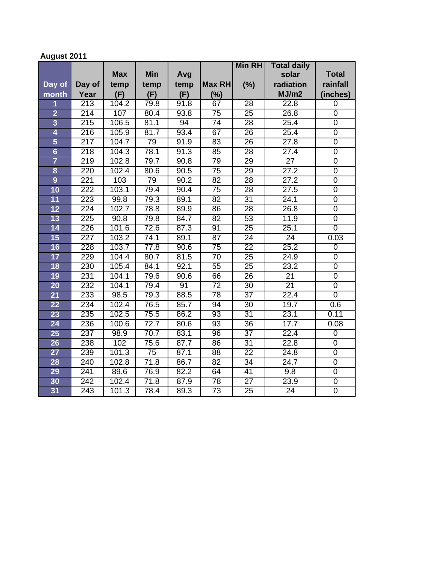# **August 2011**

|                         |                  |            |                 |      |                 | <b>Min RH</b>   | <b>Total daily</b> |                |
|-------------------------|------------------|------------|-----------------|------|-----------------|-----------------|--------------------|----------------|
|                         |                  | <b>Max</b> | <b>Min</b>      | Avg  |                 |                 | solar              | <b>Total</b>   |
| Day of                  | Day of           | temp       | temp            | temp | Max RH          | (%)             | radiation          | rainfall       |
| month                   | Year             | (F)        | (F)             | (F)  | (%)             |                 | MJ/m2              | (inches)       |
| 1                       | $\overline{213}$ | 104.2      | 79.8            | 91.8 | 67              | 28              | 22.8               | 0              |
| $\overline{2}$          | 214              | 107        | 80.4            | 93.8 | $\overline{75}$ | $\overline{25}$ | 26.8               | $\overline{0}$ |
| $\overline{3}$          | 215              | 106.5      | 81.1            | 94   | 74              | 28              | 25.4               | $\overline{0}$ |
| 4                       | 216              | 105.9      | 81.7            | 93.4 | 67              | 26              | 25.4               | $\overline{0}$ |
| 5                       | 217              | 104.7      | 79              | 91.9 | 83              | 26              | 27.8               | $\overline{0}$ |
| $6\overline{6}$         | $\overline{218}$ | 104.3      | 78.1            | 91.3 | 85              | $\overline{28}$ | $\overline{27.4}$  | $\overline{0}$ |
| $\overline{7}$          | 219              | 102.8      | 79.7            | 90.8 | $\overline{79}$ | 29              | $\overline{27}$    | $\overline{0}$ |
| $\overline{\mathbf{8}}$ | 220              | 102.4      | 80.6            | 90.5 | $\overline{75}$ | 29              | 27.2               | $\overline{0}$ |
| $\overline{9}$          | 221              | 103        | 79              | 90.2 | 82              | 28              | 27.2               | $\overline{0}$ |
| 10                      | 222              | 103.1      | 79.4            | 90.4 | $\overline{75}$ | 28              | 27.5               | $\overline{0}$ |
| $\overline{11}$         | 223              | 99.8       | 79.3            | 89.1 | 82              | $\overline{31}$ | 24.1               | $\overline{0}$ |
| 12                      | 224              | 102.7      | 78.8            | 89.9 | 86              | 28              | 26.8               | $\overline{0}$ |
| 13                      | 225              | 90.8       | 79.8            | 84.7 | 82              | 53              | 11.9               | $\overline{0}$ |
| 14                      | 226              | 101.6      | 72.6            | 87.3 | 91              | $\overline{25}$ | 25.1               | $\overline{0}$ |
| 15                      | $\overline{227}$ | 103.2      | 74.1            | 89.1 | 87              | 24              | $\overline{24}$    | 0.03           |
| 16                      | 228              | 103.7      | 77.8            | 90.6 | $\overline{75}$ | $\overline{22}$ | 25.2               | $\overline{0}$ |
| 17                      | 229              | 104.4      | 80.7            | 81.5 | $\overline{70}$ | $\overline{25}$ | 24.9               | $\overline{0}$ |
| 18                      | 230              | 105.4      | 84.1            | 92.1 | 55              | $\overline{25}$ | 23.2               | $\overline{0}$ |
| 19                      | 231              | 104.1      | 79.6            | 90.6 | 66              | $\overline{26}$ | $\overline{21}$    | $\overline{0}$ |
| 20                      | 232              | 104.1      | 79.4            | 91   | $\overline{72}$ | $\overline{30}$ | $\overline{21}$    | $\overline{0}$ |
| 21                      | 233              | 98.5       | 79.3            | 88.5 | 78              | $\overline{37}$ | 22.4               | $\overline{0}$ |
| 22                      | 234              | 102.4      | 76.5            | 85.7 | 94              | $\overline{30}$ | 19.7               | 0.6            |
| 23                      | 235              | 102.5      | 75.5            | 86.2 | 93              | $\overline{31}$ | 23.1               | 0.11           |
| 24                      | 236              | 100.6      | 72.7            | 80.6 | $\overline{93}$ | 36              | 17.7               | 0.08           |
| 25                      | 237              | 98.9       | 70.7            | 83.1 | 96              | $\overline{37}$ | 22.4               | $\overline{0}$ |
| 26                      | 238              | 102        | 75.6            | 87.7 | 86              | $\overline{31}$ | 22.8               | $\overline{0}$ |
| 27                      | 239              | 101.3      | $\overline{75}$ | 87.1 | $\overline{88}$ | $\overline{22}$ | 24.8               | $\overline{0}$ |
| 28                      | 240              | 102.8      | 71.8            | 86.7 | $\overline{82}$ | $\overline{34}$ | 24.7               | $\overline{0}$ |
| 29                      | 241              | 89.6       | 76.9            | 82.2 | 64              | 41              | 9.8                | $\overline{0}$ |
| 30                      | 242              | 102.4      | 71.8            | 87.9 | $\overline{78}$ | $\overline{27}$ | 23.9               | $\overline{0}$ |
| 31                      | 243              | 101.3      | 78.4            | 89.3 | $\overline{73}$ | $\overline{25}$ | $\overline{24}$    | $\overline{0}$ |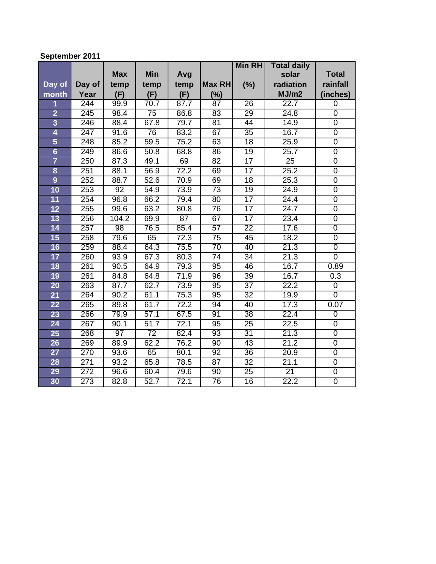## **September 2011**

|                         |                  |                 |                 |                 |                 | <b>Min RH</b>   | <b>Total daily</b> |                  |
|-------------------------|------------------|-----------------|-----------------|-----------------|-----------------|-----------------|--------------------|------------------|
|                         |                  | <b>Max</b>      | <b>Min</b>      | Avg             |                 |                 | solar              | <b>Total</b>     |
| Day of                  | Day of           | temp            | temp            | temp            | Max RH          | (%)             | radiation          | rainfall         |
| month                   | Year             | (F)             | (F)             | (F)             | (%)             |                 | MJ/m2              | (inches)         |
| 1                       | 244              | 99.9            | 70.7            | 87.7            | 87              | 26              | 22.7               | $\overline{0}$   |
| $\overline{2}$          | 245              | 98.4            | $\overline{75}$ | 86.8            | 83              | 29              | 24.8               | $\mathbf 0$      |
| $\overline{3}$          | 246              | 88.4            | 67.8            | 79.7            | 81              | 44              | 14.9               | $\overline{0}$   |
| 4                       | $\overline{247}$ | 91.6            | $\overline{76}$ | 83.2            | 67              | $\overline{35}$ | 16.7               | $\overline{0}$   |
| 5                       | 248              | 85.2            | 59.5            | 75.2            | 63              | $\overline{18}$ | 25.9               | $\overline{0}$   |
| $6\overline{6}$         | 249              | 86.6            | 50.8            | 68.8            | 86              | 19              | 25.7               | $\overline{0}$   |
| $\overline{7}$          | 250              | 87.3            | 49.1            | 69              | 82              | $\overline{17}$ | $\overline{25}$    | $\overline{0}$   |
| $\overline{\mathbf{8}}$ | 251              | 88.1            | 56.9            | 72.2            | 69              | 17              | 25.2               | $\overline{0}$   |
| $\overline{9}$          | 252              | 88.7            | 52.6            | 70.9            | 69              | $\overline{18}$ | 25.3               | $\mathbf 0$      |
| 10                      | 253              | 92              | 54.9            | 73.9            | $\overline{73}$ | 19              | 24.9               | $\overline{0}$   |
| $\overline{11}$         | 254              | 96.8            | 66.2            | 79.4            | $\overline{80}$ | $\overline{17}$ | 24.4               | $\overline{0}$   |
| 12                      | 255              | 99.6            | 63.2            | 80.8            | 76              | $\overline{17}$ | 24.7               | $\overline{0}$   |
| 13                      | 256              | 104.2           | 69.9            | $\overline{87}$ | 67              | $\overline{17}$ | 23.4               | $\overline{0}$   |
| 14                      | 257              | $\overline{98}$ | 76.5            | 85.4            | $\overline{57}$ | $\overline{22}$ | 17.6               | $\boldsymbol{0}$ |
| 15                      | 258              | 79.6            | 65              | 72.3            | $\overline{75}$ | 45              | 18.2               | $\overline{0}$   |
| 16                      | 259              | 88.4            | 64.3            | 75.5            | $\overline{70}$ | 40              | 21.3               | $\overline{0}$   |
| 17                      | 260              | 93.9            | 67.3            | 80.3            | $\overline{74}$ | $\overline{34}$ | 21.3               | $\overline{0}$   |
| 18                      | 261              | 90.5            | 64.9            | 79.3            | $\overline{95}$ | 46              | 16.7               | 0.89             |
| 19                      | 261              | 84.8            | 64.8            | 71.9            | $\overline{96}$ | 39              | 16.7               | 0.3              |
| $\overline{20}$         | 263              | 87.7            | 62.7            | 73.9            | $\overline{95}$ | $\overline{37}$ | 22.2               | $\overline{0}$   |
| 21                      | 264              | 90.2            | 61.1            | 75.3            | $\overline{95}$ | $\overline{32}$ | 19.9               | $\overline{0}$   |
| 22                      | 265              | 89.8            | 61.7            | 72.2            | 94              | 40              | 17.3               | 0.07             |
| 23                      | 266              | 79.9            | 57.1            | 67.5            | 91              | $\overline{38}$ | 22.4               | $\overline{0}$   |
| 24                      | 267              | 90.1            | 51.7            | 72.1            | $\overline{95}$ | $\overline{25}$ | 22.5               | $\overline{0}$   |
| 25                      | 268              | $\overline{97}$ | $\overline{72}$ | 82.4            | $\overline{93}$ | $\overline{31}$ | 21.3               | $\overline{0}$   |
| 26                      | 269              | 89.9            | 62.2            | 76.2            | 90              | 43              | 21.2               | $\overline{0}$   |
| 27                      | 270              | 93.6            | 65              | 80.1            | 92              | 36              | 20.9               | $\overline{0}$   |
| 28                      | 271              | 93.2            | 65.8            | 78.5            | $\overline{87}$ | $\overline{32}$ | 21.1               | $\overline{0}$   |
| 29                      | 272              | 96.6            | 60.4            | 79.6            | 90              | $\overline{25}$ | $\overline{21}$    | $\overline{0}$   |
| 30                      | $\overline{273}$ | 82.8            | 52.7            | 72.1            | 76              | 16              | 22.2               | $\overline{0}$   |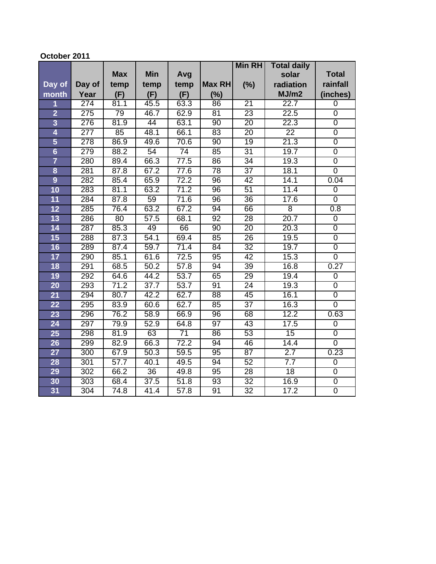### **October 2011**

|                         |                  |            |                 |                   |                 | <b>Min RH</b>   | <b>Total daily</b> |                  |
|-------------------------|------------------|------------|-----------------|-------------------|-----------------|-----------------|--------------------|------------------|
|                         |                  | <b>Max</b> | <b>Min</b>      | Avg               |                 |                 | solar              | <b>Total</b>     |
| Day of                  | Day of           | temp       | temp            | temp              | Max RH          | (%)             | radiation          | rainfall         |
| month                   | Year             | (F)        | (F)             | (F)               | (%)             |                 | MJ/m2              | (inches)         |
| 1                       | $\overline{274}$ | 81.1       | 45.5            | 63.3              | 86              | 21              | 22.7               | $\mathbf 0$      |
| $\overline{2}$          | 275              | 79         | 46.7            | 62.9              | 81              | 23              | 22.5               | $\overline{0}$   |
| $\overline{\mathbf{3}}$ | 276              | 81.9       | 44              | 63.1              | 90              | 20              | 22.3               | $\overline{0}$   |
| $\overline{\mathbf{4}}$ | $\overline{277}$ | 85         | 48.1            | 66.1              | 83              | $\overline{20}$ | 22                 | $\overline{0}$   |
| 5                       | 278              | 86.9       | 49.6            | 70.6              | 90              | $\overline{19}$ | 21.3               | $\overline{0}$   |
| $6\phantom{a}$          | 279              | 88.2       | $\overline{54}$ | $\overline{74}$   | 85              | $\overline{31}$ | 19.7               | $\overline{0}$   |
| $\overline{7}$          | 280              | 89.4       | 66.3            | 77.5              | 86              | $\overline{34}$ | 19.3               | $\overline{0}$   |
| $\overline{\mathbf{8}}$ | 281              | 87.8       | 67.2            | 77.6              | $\overline{78}$ | $\overline{37}$ | 18.1               | $\overline{0}$   |
| $\overline{9}$          | 282              | 85.4       | 65.9            | 72.2              | 96              | 42              | 14.1               | 0.04             |
| 10                      | 283              | 81.1       | 63.2            | 71.2              | 96              | $\overline{51}$ | 11.4               | $\overline{0}$   |
| $\overline{11}$         | 284              | 87.8       | 59              | 71.6              | 96              | $\overline{36}$ | 17.6               | $\overline{0}$   |
| 12                      | 285              | 76.4       | 63.2            | 67.2              | 94              | 66              | $\overline{8}$     | 0.8              |
| 13                      | 286              | 80         | 57.5            | 68.1              | 92              | 28              | 20.7               | $\overline{0}$   |
| 14                      | 287              | 85.3       | 49              | 66                | $\overline{90}$ | $\overline{20}$ | 20.3               | $\overline{0}$   |
| 15                      | 288              | 87.3       | 54.1            | 69.4              | 85              | 26              | 19.5               | $\overline{0}$   |
| 16                      | 289              | 87.4       | 59.7            | 71.4              | 84              | $\overline{32}$ | 19.7               | $\overline{0}$   |
| 17                      | 290              | 85.1       | 61.6            | 72.5              | 95              | 42              | 15.3               | $\overline{0}$   |
| 18                      | 291              | 68.5       | 50.2            | 57.8              | 94              | 39              | 16.8               | 0.27             |
| 19                      | 292              | 64.6       | 44.2            | 53.7              | 65              | 29              | 19.4               | $\overline{0}$   |
| 20                      | 293              | 71.2       | 37.7            | 53.7              | 91              | $\overline{24}$ | 19.3               | $\overline{0}$   |
| 21                      | 294              | 80.7       | 42.2            | 62.7              | 88              | 45              | 16.1               | $\overline{0}$   |
| 22                      | 295              | 83.9       | 60.6            | 62.7              | 85              | $\overline{37}$ | 16.3               | $\overline{0}$   |
| 23                      | 296              | 76.2       | 58.9            | 66.9              | 96              | 68              | 12.2               | 0.63             |
| 24                      | 297              | 79.9       | 52.9            | 64.8              | $\overline{97}$ | $\overline{43}$ | 17.5               | $\boldsymbol{0}$ |
| 25                      | 298              | 81.9       | 63              | $\overline{71}$   | 86              | 53              | 15                 | $\overline{0}$   |
| 26                      | 299              | 82.9       | 66.3            | 72.2              | 94              | 46              | 14.4               | $\overline{0}$   |
| 27                      | 300              | 67.9       | 50.3            | 59.5              | 95              | 87              | 2.7                | 0.23             |
| 28                      | 301              | 57.7       | 40.1            | 49.5              | 94              | 52              | 7.7                | 0                |
| 29                      | 302              | 66.2       | 36              | 49.8              | 95              | 28              | 18                 | $\overline{0}$   |
| 30                      | 303              | 68.4       | 37.5            | 51.8              | $\overline{93}$ | $\overline{32}$ | 16.9               | $\overline{0}$   |
| 31                      | 304              | 74.8       | 41.4            | $\overline{57.8}$ | 91              | $\overline{32}$ | 17.2               | $\overline{0}$   |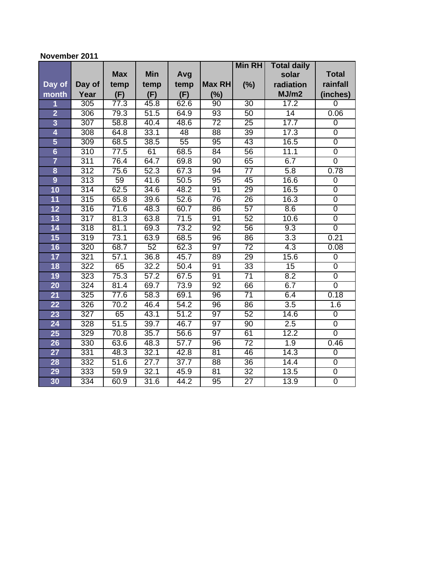### **November 2011**

|                         |                  |            |                   |                   |                 | <b>Min RH</b>   | <b>Total daily</b> |                |
|-------------------------|------------------|------------|-------------------|-------------------|-----------------|-----------------|--------------------|----------------|
|                         |                  | <b>Max</b> | <b>Min</b>        | Avg               |                 |                 | solar              | <b>Total</b>   |
| Day of                  | Day of           | temp       | temp              | temp              | Max RH          | (%)             | radiation          | rainfall       |
| month                   | Year             | (F)        | (F)               | (F)               | (%)             |                 | MJ/m2              | (inches)       |
| 1                       | 305              | 77.3       | 45.8              | 62.6              | 90              | 30              | 17.2               | $\overline{0}$ |
| $\overline{2}$          | 306              | 79.3       | 51.5              | 64.9              | $\overline{93}$ | 50              | 14                 | 0.06           |
| $\overline{3}$          | $\overline{307}$ | 58.8       | 40.4              | 48.6              | $\overline{72}$ | $\overline{25}$ | 17.7               | $\mathbf 0$    |
| 4                       | 308              | 64.8       | 33.1              | 48                | $\overline{88}$ | 39              | 17.3               | $\overline{0}$ |
| 5                       | 309              | 68.5       | 38.5              | $\overline{55}$   | $\overline{95}$ | 43              | 16.5               | $\overline{0}$ |
| $6\phantom{a}$          | $\overline{310}$ | 77.5       | 61                | 68.5              | 84              | $\overline{56}$ | 11.1               | $\mathbf 0$    |
| $\overline{7}$          | 311              | 76.4       | 64.7              | 69.8              | 90              | 65              | 6.7                | $\overline{0}$ |
| $\overline{\mathbf{8}}$ | $\overline{312}$ | 75.6       | 52.3              | 67.3              | 94              | $\overline{77}$ | 5.8                | 0.78           |
| $\overline{9}$          | 313              | 59         | $\overline{41.6}$ | 50.5              | 95              | 45              | 16.6               | $\mathbf 0$    |
| 10                      | 314              | 62.5       | 34.6              | 48.2              | 91              | 29              | 16.5               | $\overline{0}$ |
| $\overline{11}$         | 315              | 65.8       | 39.6              | 52.6              | 76              | $\overline{26}$ | 16.3               | $\overline{0}$ |
| 12                      | 316              | 71.6       | 48.3              | 60.7              | 86              | 57              | 8.6                | $\overline{0}$ |
| 13                      | $\overline{317}$ | 81.3       | 63.8              | 71.5              | 91              | 52              | 10.6               | $\overline{0}$ |
| 14                      | 318              | 81.1       | 69.3              | 73.2              | $\overline{92}$ | 56              | 9.3                | $\overline{0}$ |
| 15                      | 319              | 73.1       | 63.9              | 68.5              | $\overline{96}$ | 86              | $\overline{3.3}$   | 0.21           |
| 16                      | 320              | 68.7       | $\overline{52}$   | 62.3              | $\overline{97}$ | $\overline{72}$ | 4.3                | 0.08           |
| 17                      | 321              | 57.1       | 36.8              | 45.7              | 89              | 29              | 15.6               | $\overline{0}$ |
| 18                      | $\overline{322}$ | 65         | 32.2              | 50.4              | $\overline{91}$ | $\overline{33}$ | 15                 | $\overline{0}$ |
| 19                      | 323              | 75.3       | 57.2              | 67.5              | 91              | $\overline{71}$ | 8.2                | $\overline{0}$ |
| 20                      | 324              | 81.4       | 69.7              | 73.9              | 92              | 66              | 6.7                | $\overline{0}$ |
| 21                      | 325              | 77.6       | 58.3              | 69.1              | $\overline{96}$ | $\overline{71}$ | 6.4                | 0.18           |
| $\overline{22}$         | 326              | 70.2       | 46.4              | 54.2              | 96              | 86              | $\overline{3.5}$   | 1.6            |
| 23                      | $\overline{327}$ | 65         | 43.1              | 51.2              | $\overline{97}$ | 52              | 14.6               | $\overline{0}$ |
| 24                      | 328              | 51.5       | 39.7              | 46.7              | $\overline{97}$ | $\overline{90}$ | 2.5                | 0              |
| 25                      | 329              | 70.8       | 35.7              | 56.6              | 97              | 61              | 12.2               | $\overline{0}$ |
| 26                      | 330              | 63.6       | 48.3              | $\overline{57.7}$ | 96              | $\overline{72}$ | 1.9                | 0.46           |
| 27                      | 331              | 48.3       | 32.1              | 42.8              | 81              | 46              | 14.3               | $\mathbf 0$    |
| 28                      | 332              | 51.6       | $\overline{27.7}$ | 37.7              | 88              | 36              | 14.4               | $\overline{0}$ |
| 29                      | 333              | 59.9       | 32.1              | 45.9              | 81              | $\overline{32}$ | 13.5               | $\overline{0}$ |
| 30                      | 334              | 60.9       | 31.6              | 44.2              | 95              | $\overline{27}$ | 13.9               | $\overline{0}$ |